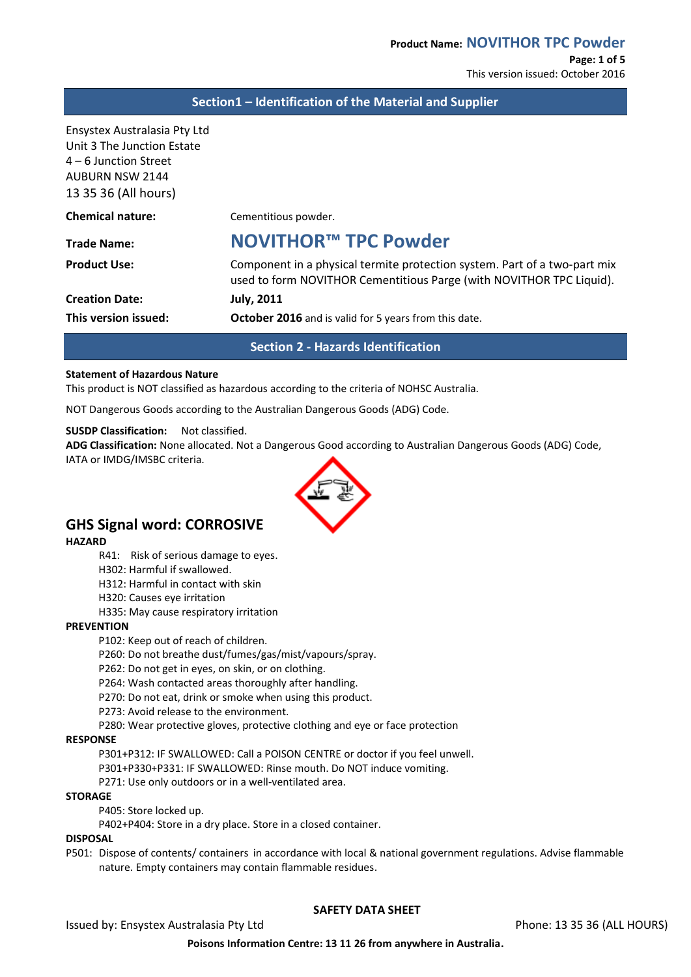This version issued: October 2016

## **Section1 – Identification of the Material and Supplier**

Ensystex Australasia Pty Ltd Unit 3 The Junction Estate 4 – 6 Junction Street AUBURN NSW 2144 13 35 36 (All hours)

| <b>Chemical nature:</b> | Cementitious powder.                                                                                                                              |
|-------------------------|---------------------------------------------------------------------------------------------------------------------------------------------------|
| <b>Trade Name:</b>      | NOVITHOR™ TPC Powder                                                                                                                              |
| <b>Product Use:</b>     | Component in a physical termite protection system. Part of a two-part mix<br>used to form NOVITHOR Cementitious Parge (with NOVITHOR TPC Liquid). |
| <b>Creation Date:</b>   | <b>July, 2011</b>                                                                                                                                 |
| This version issued:    | October 2016 and is valid for 5 years from this date.                                                                                             |
|                         |                                                                                                                                                   |

**Section 2 - Hazards Identification**

#### **Statement of Hazardous Nature**

This product is NOT classified as hazardous according to the criteria of NOHSC Australia.

NOT Dangerous Goods according to the Australian Dangerous Goods (ADG) Code.

#### **SUSDP Classification:** Not classified.

**ADG Classification:** None allocated. Not a Dangerous Good according to Australian Dangerous Goods (ADG) Code, IATA or IMDG/IMSBC criteria.



# **GHS Signal word: CORROSIVE**

**HAZARD**

- R41: Risk of serious damage to eyes.
- H302: Harmful if swallowed.
- H312: Harmful in contact with skin
- H320: Causes eye irritation
- H335: May cause respiratory irritation

#### **PREVENTION**

P102: Keep out of reach of children.

P260: Do not breathe dust/fumes/gas/mist/vapours/spray.

P262: Do not get in eyes, on skin, or on clothing.

P264: Wash contacted areas thoroughly after handling.

P270: Do not eat, drink or smoke when using this product.

P273: Avoid release to the environment.

P280: Wear protective gloves, protective clothing and eye or face protection

#### **RESPONSE**

P301+P312: IF SWALLOWED: Call a POISON CENTRE or doctor if you feel unwell.

P301+P330+P331: IF SWALLOWED: Rinse mouth. Do NOT induce vomiting.

P271: Use only outdoors or in a well-ventilated area.

#### **STORAGE**

P405: Store locked up.

P402+P404: Store in a dry place. Store in a closed container.

#### **DISPOSAL**

P501: Dispose of contents/ containers in accordance with local & national government regulations. Advise flammable nature. Empty containers may contain flammable residues.

# **SAFETY DATA SHEET**

**Poisons Information Centre: 13 11 26 from anywhere in Australia.**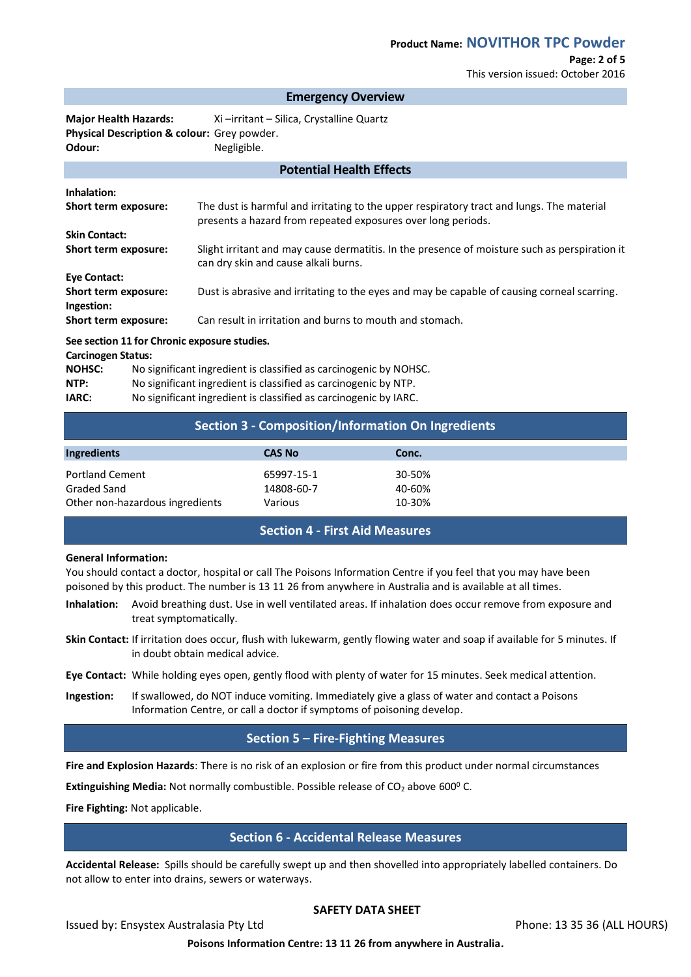# **Page: 2 of 5**

This version issued: October 2016

#### **Emergency Overview**

**Potential Health Effects**

**Major Health Hazards:** Xi –irritant – Silica, Crystalline Quartz **Physical Description & colour:** Grey powder. **Odour:** Negligible.

| Potential Health Effects                     |                                                                                                                                                           |  |
|----------------------------------------------|-----------------------------------------------------------------------------------------------------------------------------------------------------------|--|
| Inhalation:                                  |                                                                                                                                                           |  |
| Short term exposure:                         | The dust is harmful and irritating to the upper respiratory tract and lungs. The material<br>presents a hazard from repeated exposures over long periods. |  |
| <b>Skin Contact:</b>                         |                                                                                                                                                           |  |
| Short term exposure:                         | Slight irritant and may cause dermatitis. In the presence of moisture such as perspiration it<br>can dry skin and cause alkali burns.                     |  |
| Eye Contact:                                 |                                                                                                                                                           |  |
| Short term exposure:<br>Ingestion:           | Dust is abrasive and irritating to the eyes and may be capable of causing corneal scarring.                                                               |  |
| Short term exposure:                         | Can result in irritation and burns to mouth and stomach.                                                                                                  |  |
| See section 11 for Chronic exposure studies. |                                                                                                                                                           |  |

#### **Carcinogen Status:**

| <u>carennocen status:</u> |                                                                   |  |
|---------------------------|-------------------------------------------------------------------|--|
| <b>NOHSC:</b>             | No significant ingredient is classified as carcinogenic by NOHSC. |  |
| NTP:                      | No significant ingredient is classified as carcinogenic by NTP.   |  |
| IARC:                     | No significant ingredient is classified as carcinogenic by IARC.  |  |
|                           |                                                                   |  |

## **Section 3 - Composition/Information On Ingredients**

| Ingredients                     | <b>CAS No</b> | Conc.  |  |
|---------------------------------|---------------|--------|--|
| <b>Portland Cement</b>          | 65997-15-1    | 30-50% |  |
| Graded Sand                     | 14808-60-7    | 40-60% |  |
| Other non-hazardous ingredients | Various       | 10-30% |  |

# **Section 4 - First Aid Measures**

#### **General Information:**

You should contact a doctor, hospital or call The Poisons Information Centre if you feel that you may have been poisoned by this product. The number is 13 11 26 from anywhere in Australia and is available at all times.

- **Inhalation:** Avoid breathing dust. Use in well ventilated areas. If inhalation does occur remove from exposure and treat symptomatically.
- **Skin Contact:** If irritation does occur, flush with lukewarm, gently flowing water and soap if available for 5 minutes. If in doubt obtain medical advice.
- **Eye Contact:** While holding eyes open, gently flood with plenty of water for 15 minutes. Seek medical attention.
- **Ingestion:** If swallowed, do NOT induce vomiting. Immediately give a glass of water and contact a Poisons Information Centre, or call a doctor if symptoms of poisoning develop.

## **Section 5 – Fire-Fighting Measures**

**Fire and Explosion Hazards**: There is no risk of an explosion or fire from this product under normal circumstances

**Extinguishing Media:** Not normally combustible. Possible release of CO<sub>2</sub> above 600<sup>0</sup> C.

**Fire Fighting:** Not applicable.

## **Section 6 - Accidental Release Measures**

**Accidental Release:** Spills should be carefully swept up and then shovelled into appropriately labelled containers. Do not allow to enter into drains, sewers or waterways.

## **SAFETY DATA SHEET**

Issued by: Ensystex Australasia Pty Ltd Phone: 13 35 36 (ALL HOURS)

**Poisons Information Centre: 13 11 26 from anywhere in Australia.**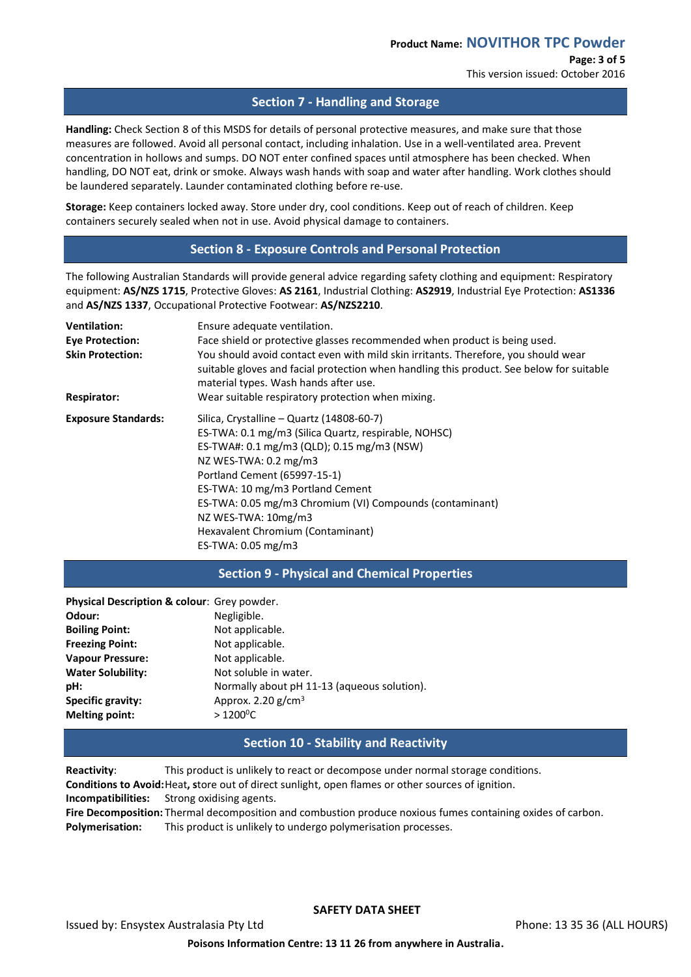## **Section 7 - Handling and Storage**

**Handling:** Check Section 8 of this MSDS for details of personal protective measures, and make sure that those measures are followed. Avoid all personal contact, including inhalation. Use in a well-ventilated area. Prevent concentration in hollows and sumps. DO NOT enter confined spaces until atmosphere has been checked. When handling, DO NOT eat, drink or smoke. Always wash hands with soap and water after handling. Work clothes should be laundered separately. Launder contaminated clothing before re-use.

**Storage:** Keep containers locked away. Store under dry, cool conditions. Keep out of reach of children. Keep containers securely sealed when not in use. Avoid physical damage to containers.

## **Section 8 - Exposure Controls and Personal Protection**

The following Australian Standards will provide general advice regarding safety clothing and equipment: Respiratory equipment: **AS/NZS 1715**, Protective Gloves: **AS 2161**, Industrial Clothing: **AS2919**, Industrial Eye Protection: **AS1336** and **AS/NZS 1337**, Occupational Protective Footwear: **AS/NZS2210**.

| <b>Ventilation:</b>        | Ensure adequate ventilation.                                                                                                                                                                                            |  |
|----------------------------|-------------------------------------------------------------------------------------------------------------------------------------------------------------------------------------------------------------------------|--|
| <b>Eye Protection:</b>     | Face shield or protective glasses recommended when product is being used.                                                                                                                                               |  |
| <b>Skin Protection:</b>    | You should avoid contact even with mild skin irritants. Therefore, you should wear<br>suitable gloves and facial protection when handling this product. See below for suitable<br>material types. Wash hands after use. |  |
| <b>Respirator:</b>         | Wear suitable respiratory protection when mixing.                                                                                                                                                                       |  |
| <b>Exposure Standards:</b> | Silica, Crystalline - Quartz (14808-60-7)                                                                                                                                                                               |  |
|                            | ES-TWA: 0.1 mg/m3 (Silica Quartz, respirable, NOHSC)                                                                                                                                                                    |  |
|                            | ES-TWA#: 0.1 mg/m3 (QLD); 0.15 mg/m3 (NSW)                                                                                                                                                                              |  |
|                            | NZ WES-TWA: $0.2 \text{ mg/m}$ 3                                                                                                                                                                                        |  |
|                            | Portland Cement (65997-15-1)                                                                                                                                                                                            |  |
|                            | ES-TWA: 10 mg/m3 Portland Cement                                                                                                                                                                                        |  |
|                            | ES-TWA: 0.05 mg/m3 Chromium (VI) Compounds (contaminant)                                                                                                                                                                |  |
|                            | NZ WES-TWA: 10mg/m3                                                                                                                                                                                                     |  |
|                            | Hexavalent Chromium (Contaminant)                                                                                                                                                                                       |  |
|                            | ES-TWA: $0.05$ mg/m3                                                                                                                                                                                                    |  |

## **Section 9 - Physical and Chemical Properties**

| Physical Description & colour: Grey powder. |                                             |
|---------------------------------------------|---------------------------------------------|
| Odour:                                      | Negligible.                                 |
| <b>Boiling Point:</b>                       | Not applicable.                             |
| <b>Freezing Point:</b>                      | Not applicable.                             |
| <b>Vapour Pressure:</b>                     | Not applicable.                             |
| <b>Water Solubility:</b>                    | Not soluble in water.                       |
| pH:                                         | Normally about pH 11-13 (aqueous solution). |
| <b>Specific gravity:</b>                    | Approx. 2.20 $g/cm3$                        |
| <b>Melting point:</b>                       | $>1200^{\circ}$ C                           |

## **Section 10 - Stability and Reactivity**

**Reactivity**: This product is unlikely to react or decompose under normal storage conditions. **Conditions to Avoid:**Heat**, s**tore out of direct sunlight, open flames or other sources of ignition. **Incompatibilities:** Strong oxidising agents. **Fire Decomposition:** Thermal decomposition and combustion produce noxious fumes containing oxides of carbon. **Polymerisation:** This product is unlikely to undergo polymerisation processes.

**SAFETY DATA SHEET**

Issued by: Ensystex Australasia Pty Ltd Phone: 13 35 36 (ALL HOURS)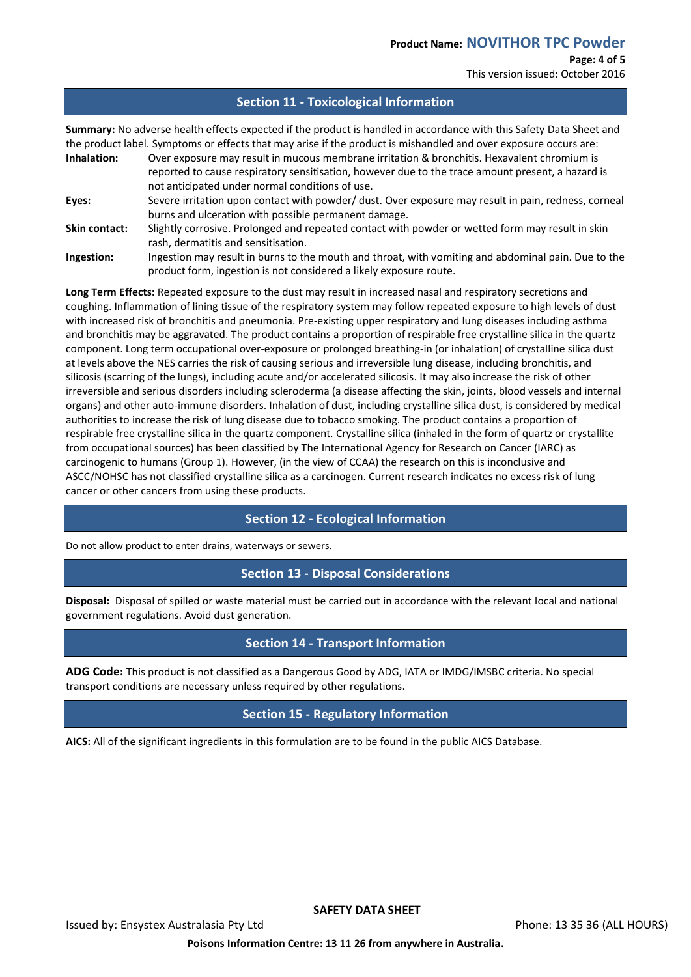This version issued: October 2016

#### **Section 11 - Toxicological Information**

**Summary:** No adverse health effects expected if the product is handled in accordance with this Safety Data Sheet and the product label. Symptoms or effects that may arise if the product is mishandled and over exposure occurs are:

**Inhalation:** Over exposure may result in mucous membrane irritation & bronchitis. Hexavalent chromium is reported to cause respiratory sensitisation, however due to the trace amount present, a hazard is not anticipated under normal conditions of use. **Eyes:** Severe irritation upon contact with powder/ dust. Over exposure may result in pain, redness, corneal burns and ulceration with possible permanent damage. **Skin contact:** Slightly corrosive. Prolonged and repeated contact with powder or wetted form may result in skin rash, dermatitis and sensitisation. **Ingestion:** Ingestion may result in burns to the mouth and throat, with vomiting and abdominal pain. Due to the

product form, ingestion is not considered a likely exposure route. **Long Term Effects:** Repeated exposure to the dust may result in increased nasal and respiratory secretions and

coughing. Inflammation of lining tissue of the respiratory system may follow repeated exposure to high levels of dust with increased risk of bronchitis and pneumonia. Pre-existing upper respiratory and lung diseases including asthma and bronchitis may be aggravated. The product contains a proportion of respirable free crystalline silica in the quartz component. Long term occupational over-exposure or prolonged breathing-in (or inhalation) of crystalline silica dust at levels above the NES carries the risk of causing serious and irreversible lung disease, including bronchitis, and silicosis (scarring of the lungs), including acute and/or accelerated silicosis. It may also increase the risk of other irreversible and serious disorders including scleroderma (a disease affecting the skin, joints, blood vessels and internal organs) and other auto-immune disorders. Inhalation of dust, including crystalline silica dust, is considered by medical authorities to increase the risk of lung disease due to tobacco smoking. The product contains a proportion of respirable free crystalline silica in the quartz component. Crystalline silica (inhaled in the form of quartz or crystallite from occupational sources) has been classified by The International Agency for Research on Cancer (IARC) as carcinogenic to humans (Group 1). However, (in the view of CCAA) the research on this is inconclusive and ASCC/NOHSC has not classified crystalline silica as a carcinogen. Current research indicates no excess risk of lung cancer or other cancers from using these products.

# **Section 12 - Ecological Information**

Do not allow product to enter drains, waterways or sewers.

## **Section 13 - Disposal Considerations**

**Disposal:** Disposal of spilled or waste material must be carried out in accordance with the relevant local and national government regulations. Avoid dust generation.

# **Section 14 - Transport Information**

**ADG Code:** This product is not classified as a Dangerous Good by ADG, IATA or IMDG/IMSBC criteria. No special transport conditions are necessary unless required by other regulations.

# **Section 15 - Regulatory Information**

**AICS:** All of the significant ingredients in this formulation are to be found in the public AICS Database.

Issued by: Ensystex Australasia Pty Ltd Phone: 13 35 36 (ALL HOURS)

**Poisons Information Centre: 13 11 26 from anywhere in Australia.**